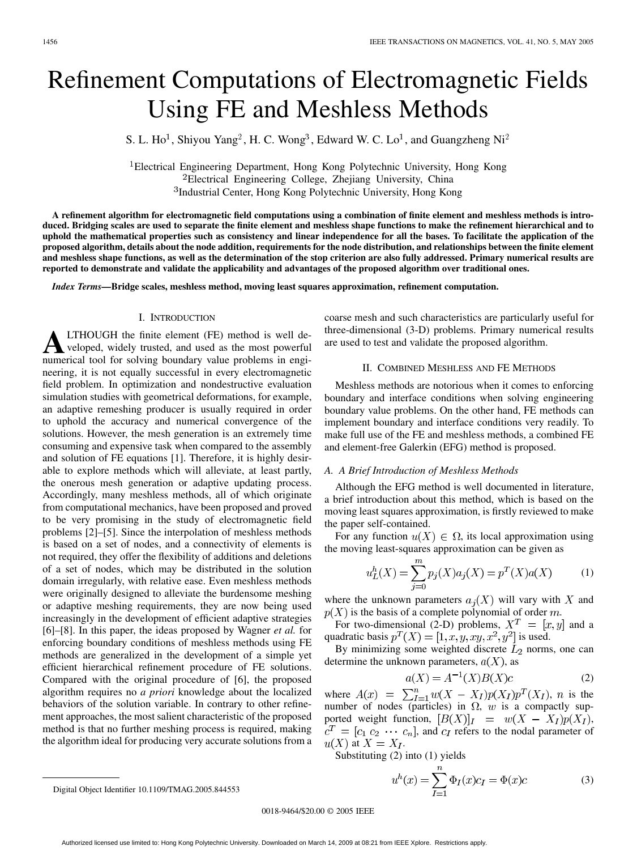# Refinement Computations of Electromagnetic Fields Using FE and Meshless Methods

S. L. Ho<sup>1</sup>, Shiyou Yang<sup>2</sup>, H. C. Wong<sup>3</sup>, Edward W. C. Lo<sup>1</sup>, and Guangzheng Ni<sup>2</sup>

Electrical Engineering Department, Hong Kong Polytechnic University, Hong Kong Electrical Engineering College, Zhejiang University, China <sup>3</sup>Industrial Center, Hong Kong Polytechnic University, Hong Kong

**A refinement algorithm for electromagnetic field computations using a combination of finite element and meshless methods is introduced. Bridging scales are used to separate the finite element and meshless shape functions to make the refinement hierarchical and to uphold the mathematical properties such as consistency and linear independence for all the bases. To facilitate the application of the proposed algorithm, details about the node addition, requirements for the node distribution, and relationships between the finite element and meshless shape functions, as well as the determination of the stop criterion are also fully addressed. Primary numerical results are reported to demonstrate and validate the applicability and advantages of the proposed algorithm over traditional ones.**

*Index Terms—***Bridge scales, meshless method, moving least squares approximation, refinement computation.**

# I. INTRODUCTION

**A**LTHOUGH the finite element (FE) method is well developed, widely trusted, and used as the most powerful numerical tool for solving boundary value problems in engineering, it is not equally successful in every electromagnetic field problem. In optimization and nondestructive evaluation simulation studies with geometrical deformations, for example, an adaptive remeshing producer is usually required in order to uphold the accuracy and numerical convergence of the solutions. However, the mesh generation is an extremely time consuming and expensive task when compared to the assembly and solution of FE equations [[1\]](#page-3-0). Therefore, it is highly desirable to explore methods which will alleviate, at least partly, the onerous mesh generation or adaptive updating process. Accordingly, many meshless methods, all of which originate from computational mechanics, have been proposed and proved to be very promising in the study of electromagnetic field problems [[2\]](#page-3-0)–[\[5](#page-3-0)]. Since the interpolation of meshless methods is based on a set of nodes, and a connectivity of elements is not required, they offer the flexibility of additions and deletions of a set of nodes, which may be distributed in the solution domain irregularly, with relative ease. Even meshless methods were originally designed to alleviate the burdensome meshing or adaptive meshing requirements, they are now being used increasingly in the development of efficient adaptive strategies [[6\]](#page-3-0)–[[8](#page-3-0)]. In this paper, the ideas proposed by Wagner *et al.* for enforcing boundary conditions of meshless methods using FE methods are generalized in the development of a simple yet efficient hierarchical refinement procedure of FE solutions. Compared with the original procedure of [[6\]](#page-3-0), the proposed algorithm requires no *a priori* knowledge about the localized behaviors of the solution variable. In contrary to other refinement approaches, the most salient characteristic of the proposed method is that no further meshing process is required, making the algorithm ideal for producing very accurate solutions from a coarse mesh and such characteristics are particularly useful for three-dimensional (3-D) problems. Primary numerical results are used to test and validate the proposed algorithm.

#### II. COMBINED MESHLESS AND FE METHODS

Meshless methods are notorious when it comes to enforcing boundary and interface conditions when solving engineering boundary value problems. On the other hand, FE methods can implement boundary and interface conditions very readily. To make full use of the FE and meshless methods, a combined FE and element-free Galerkin (EFG) method is proposed.

# *A. A Brief Introduction of Meshless Methods*

Although the EFG method is well documented in literature, a brief introduction about this method, which is based on the moving least squares approximation, is firstly reviewed to make the paper self-contained.

For any function  $u(X) \in \Omega$ , its local approximation using the moving least-squares approximation can be given as

$$
u_L^h(X) = \sum_{j=0}^m p_j(X)a_j(X) = p^T(X)a(X)
$$
 (1)

where the unknown parameters  $a_i(X)$  will vary with X and  $p(X)$  is the basis of a complete polynomial of order m.

For two-dimensional (2-D) problems,  $X^T = [x, y]$  and a quadratic basis  $p^T(X) = [1, x, y, xy, x^2, y^2]$  is used.

By minimizing some weighted discrete  $L_2$  norms, one can determine the unknown parameters,  $a(X)$ , as

$$
a(X) = A^{-1}(X)B(X)c
$$
 (2)

where  $A(x) = \sum_{I=1}^{n} w(X - X_I) p(X_I) p^{T}(X_I)$ , *n* is the number of nodes (particles) in  $\Omega$ , w is a compactly supported weight function,  $[B(X)]_I = w(X - X_I)p(X_I)$ ,  $c^T = [c_1 \ c_2 \ \cdots \ c_n]$ , and  $c_I$  refers to the nodal parameter of  $u(X)$  at  $X = X_I$ .

Substituting (2) into (1) yields

$$
u^{h}(x) = \sum_{I=1}^{n} \Phi_{I}(x)c_{I} = \Phi(x)c
$$
 (3)

0018-9464/\$20.00 © 2005 IEEE

Digital Object Identifier 10.1109/TMAG.2005.844553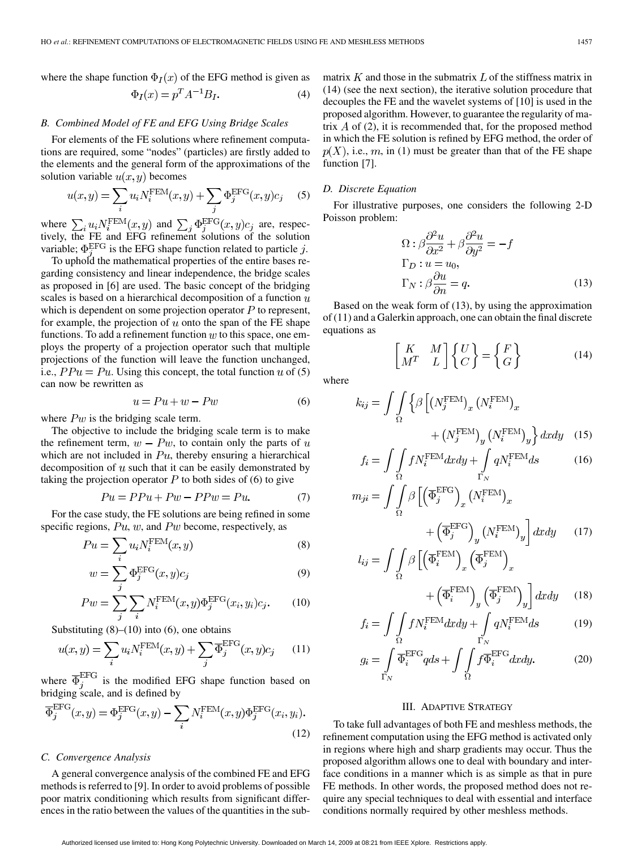where the shape function  $\Phi_I(x)$  of the EFG method is given as

$$
\Phi_I(x) = p^T A^{-1} B_I. \tag{4}
$$

#### *B. Combined Model of FE and EFG Using Bridge Scales*

For elements of the FE solutions where refinement computations are required, some "nodes" (particles) are firstly added to the elements and the general form of the approximations of the solution variable  $u(x, y)$  becomes

$$
u(x,y) = \sum_{i} u_i N_i^{\text{FEM}}(x,y) + \sum_{j} \Phi_j^{\text{EFG}}(x,y)c_j \quad (5)
$$

where  $\sum_i u_i N_i^{\text{FEM}}(x, y)$  and  $\sum_i \Phi_i^{\text{EFG}}(x, y) c_i$  are, respectively, the FE and EFG refinement solutions of the solution variable;  $\Phi_i^{\text{EFG}}$  is the EFG shape function related to particle j.

To uphold the mathematical properties of the entire bases regarding consistency and linear independence, the bridge scales as proposed in [[6\]](#page-3-0) are used. The basic concept of the bridging scales is based on a hierarchical decomposition of a function  $u$ which is dependent on some projection operator  $P$  to represent, for example, the projection of  $u$  onto the span of the FE shape functions. To add a refinement function  $w$  to this space, one employs the property of a projection operator such that multiple projections of the function will leave the function unchanged, i.e.,  $PPu = Pu$ . Using this concept, the total function u of (5) can now be rewritten as

$$
u = Pu + w - Pw \tag{6}
$$

where  $Pw$  is the bridging scale term.

The objective to include the bridging scale term is to make the refinement term,  $w - Pw$ , to contain only the parts of u which are not included in  $Pu$ , thereby ensuring a hierarchical decomposition of  $u$  such that it can be easily demonstrated by taking the projection operator  $P$  to both sides of (6) to give

$$
Pu = PPu + Pw - PPw = Pu.
$$
 (7)

For the case study, the FE solutions are being refined in some specific regions,  $Pu, w$ , and  $Pw$  become, respectively, as

$$
Pu = \sum_{i} u_i N_i^{\text{FEM}}(x, y)
$$
 (8)

$$
w = \sum_{j} \Phi_j^{\text{EFG}}(x, y)c_j \tag{9}
$$

$$
Pw = \sum_{j} \sum_{i} N_i^{\text{FEM}}(x, y) \Phi_j^{\text{EFG}}(x_i, y_i) c_j.
$$
 (10)

Substituting  $(8)$ – $(10)$  into  $(6)$ , one obtains

$$
u(x,y) = \sum_{i} u_i N_i^{\text{FEM}}(x,y) + \sum_{j} \overline{\Phi}_j^{\text{EFG}}(x,y)c_j \qquad (11)
$$

where  $\overline{\Phi}_j^{\text{EFG}}$  is the modified EFG shape function based on bridging scale, and is defined by

$$
\overline{\Phi}_j^{\text{EFG}}(x,y) = \Phi_j^{\text{EFG}}(x,y) - \sum_i N_i^{\text{FEM}}(x,y) \Phi_j^{\text{EFG}}(x_i, y_i).
$$
\n(12)

#### *C. Convergence Analysis*

A general convergence analysis of the combined FE and EFG methods is referred to [[9\]](#page-3-0). In order to avoid problems of possible poor matrix conditioning which results from significant differences in the ratio between the values of the quantities in the submatrix  $K$  and those in the submatrix  $L$  of the stiffness matrix in (14) (see the next section), the iterative solution procedure that decouples the FE and the wavelet systems of [\[10](#page-3-0)] is used in the proposed algorithm. However, to guarantee the regularity of matrix  $\vec{A}$  of (2), it is recommended that, for the proposed method in which the FE solution is refined by EFG method, the order of  $p(X)$ , i.e., m, in (1) must be greater than that of the FE shape function [[7\]](#page-3-0).

# *D. Discrete Equation*

For illustrative purposes, one considers the following 2-D Poisson problem:

$$
\Omega: \beta \frac{\partial^2 u}{\partial x^2} + \beta \frac{\partial^2 u}{\partial y^2} = -f
$$
  
\n
$$
\Gamma_D: u = u_0,
$$
  
\n
$$
\Gamma_N: \beta \frac{\partial u}{\partial n} = q.
$$
\n(13)

Based on the weak form of (13), by using the approximation of (11) and a Galerkin approach, one can obtain the final discrete equations as

$$
\begin{bmatrix} K & M \\ M^T & L \end{bmatrix} \begin{Bmatrix} U \\ C \end{Bmatrix} = \begin{Bmatrix} F \\ G \end{Bmatrix}
$$
 (14)

where

$$
k_{ij} = \int \int_{\Omega} \left\{ \beta \left[ \left( N_j^{\text{FEM}} \right)_x \left( N_i^{\text{FEM}} \right)_x \right. \right. \\
\left. + \left( N_j^{\text{FEM}} \right)_y \left( N_i^{\text{FEM}} \right)_y \right\} dxdy \quad (15)
$$

$$
f_i = \int\int_{\Omega} f N_i^{\text{FEM}} dx dy + \int\limits_{\Gamma_N} q N_i^{\text{FEM}} ds \tag{16}
$$

$$
m_{ji} = \int \int_{\Omega} \beta \left[ \left( \overline{\Phi}_{j}^{\text{EFG}} \right)_{x} \left( N_{i}^{\text{FEM}} \right)_{x} + \left( \overline{\Phi}_{j}^{\text{EFG}} \right)_{y} \left( N_{i}^{\text{FEM}} \right)_{y} \right] dxdy \qquad (17)
$$

$$
l_{ij} = \int \int_{\Omega} \beta \left[ \left( \overline{\Phi}_i^{\text{FEM}} \right)_x \left( \overline{\Phi}_j^{\text{FEM}} \right)_x \right. \\
\left. + \left( \overline{\Phi}_i^{\text{FEM}} \right) \left( \overline{\Phi}_i^{\text{FEM}} \right) \left[ \right] dx du \quad (18)
$$

$$
+\left(\overline{\Phi}_{i}^{\text{F EM}}\right)_{y}\left(\overline{\Phi}_{j}^{\text{F EM}}\right)_{y}\right)dxdy\qquad(18)
$$

$$
f_i = \int\int\limits_{\Omega} f N_i^{\text{FEM}} dx dy + \int\limits_{\Gamma_N} q N_i^{\text{FEM}} ds \tag{19}
$$

$$
g_i = \int_{\Gamma_N} \overline{\Phi}_i^{\text{EFG}} q ds + \int \int_{\Omega} f \overline{\Phi}_i^{\text{EFG}} dx dy.
$$
 (20)

#### III. ADAPTIVE STRATEGY

To take full advantages of both FE and meshless methods, the refinement computation using the EFG method is activated only in regions where high and sharp gradients may occur. Thus the proposed algorithm allows one to deal with boundary and interface conditions in a manner which is as simple as that in pure FE methods. In other words, the proposed method does not require any special techniques to deal with essential and interface conditions normally required by other meshless methods.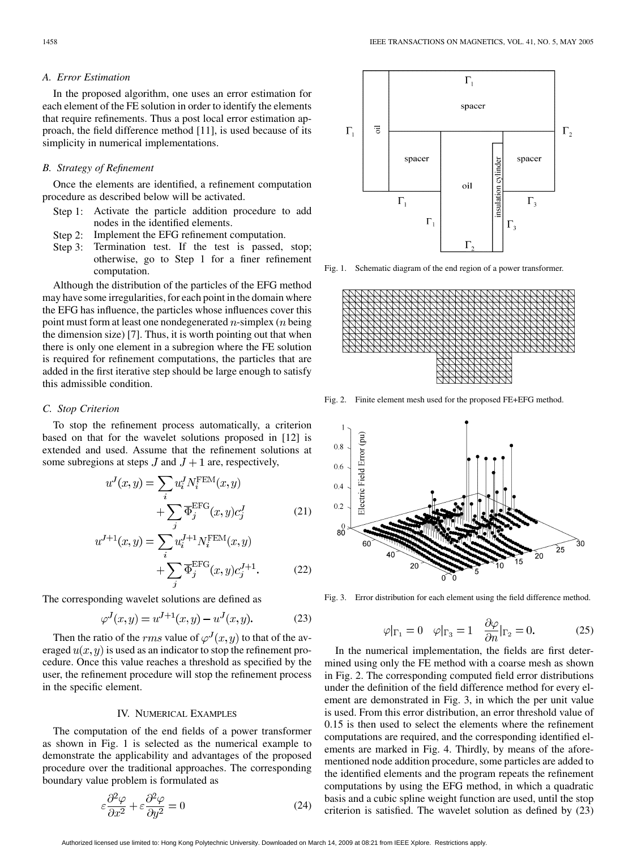# *A. Error Estimation*

In the proposed algorithm, one uses an error estimation for each element of the FE solution in order to identify the elements that require refinements. Thus a post local error estimation approach, the field difference method [[11\]](#page-3-0), is used because of its simplicity in numerical implementations.

#### *B. Strategy of Refinement*

Once the elements are identified, a refinement computation procedure as described below will be activated.

- Step 1: Activate the particle addition procedure to add nodes in the identified elements.
- Step 2: Implement the EFG refinement computation.
- Step 3: Termination test. If the test is passed, stop; otherwise, go to Step 1 for a finer refinement computation.

Although the distribution of the particles of the EFG method may have some irregularities, for each point in the domain where the EFG has influence, the particles whose influences cover this point must form at least one nondegenerated *n*-simplex (*n* being the dimension size) [\[7](#page-3-0)]. Thus, it is worth pointing out that when there is only one element in a subregion where the FE solution is required for refinement computations, the particles that are added in the first iterative step should be large enough to satisfy this admissible condition.

# *C. Stop Criterion*

To stop the refinement process automatically, a criterion based on that for the wavelet solutions proposed in [\[12](#page-3-0)] is extended and used. Assume that the refinement solutions at some subregions at steps  $J$  and  $J+1$  are, respectively,

$$
u^{J}(x,y) = \sum_{i} u^{J}_{i} N_{i}^{\text{FEM}}(x,y)
$$

$$
+ \sum_{j} \overline{\Phi}_{j}^{\text{EFG}}(x,y) c_{j}^{J}
$$
(21)

$$
u^{J+1}(x,y) = \sum_{i} u_i^{J+1} N_i^{\text{FEM}}(x,y) + \sum_{j} \overline{\Phi}_j^{\text{EFG}}(x,y) c_j^{J+1}.
$$
 (22)

The corresponding wavelet solutions are defined as

$$
\varphi^{J}(x, y) = u^{J+1}(x, y) - u^{J}(x, y). \tag{23}
$$

Then the ratio of the rms value of  $\varphi^{J}(x, y)$  to that of the averaged  $u(x, y)$  is used as an indicator to stop the refinement procedure. Once this value reaches a threshold as specified by the user, the refinement procedure will stop the refinement process in the specific element.

# IV. NUMERICAL EXAMPLES

The computation of the end fields of a power transformer as shown in Fig. 1 is selected as the numerical example to demonstrate the applicability and advantages of the proposed procedure over the traditional approaches. The corresponding boundary value problem is formulated as

$$
\varepsilon \frac{\partial^2 \varphi}{\partial x^2} + \varepsilon \frac{\partial^2 \varphi}{\partial y^2} = 0
$$
 (24)



Fig. 1. Schematic diagram of the end region of a power transformer.



Fig. 2. Finite element mesh used for the proposed FE+EFG method.



Fig. 3. Error distribution for each element using the field difference method.

$$
\varphi|_{\Gamma_1} = 0 \quad \varphi|_{\Gamma_3} = 1 \quad \frac{\partial \varphi}{\partial n}|_{\Gamma_2} = 0. \tag{25}
$$

In the numerical implementation, the fields are first determined using only the FE method with a coarse mesh as shown in Fig. 2. The corresponding computed field error distributions under the definition of the field difference method for every element are demonstrated in Fig. 3, in which the per unit value is used. From this error distribution, an error threshold value of 0.15 is then used to select the elements where the refinement computations are required, and the corresponding identified elements are marked in Fig. 4. Thirdly, by means of the aforementioned node addition procedure, some particles are added to the identified elements and the program repeats the refinement computations by using the EFG method, in which a quadratic basis and a cubic spline weight function are used, until the stop criterion is satisfied. The wavelet solution as defined by (23)